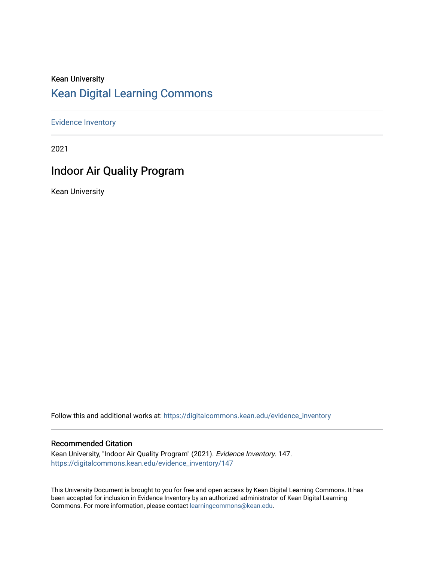# Kean University [Kean Digital Learning Commons](https://digitalcommons.kean.edu/)

[Evidence Inventory](https://digitalcommons.kean.edu/evidence_inventory) 

2021

# Indoor Air Quality Program

Kean University

Follow this and additional works at: [https://digitalcommons.kean.edu/evidence\\_inventory](https://digitalcommons.kean.edu/evidence_inventory?utm_source=digitalcommons.kean.edu%2Fevidence_inventory%2F147&utm_medium=PDF&utm_campaign=PDFCoverPages)

#### Recommended Citation

Kean University, "Indoor Air Quality Program" (2021). Evidence Inventory. 147. [https://digitalcommons.kean.edu/evidence\\_inventory/147](https://digitalcommons.kean.edu/evidence_inventory/147?utm_source=digitalcommons.kean.edu%2Fevidence_inventory%2F147&utm_medium=PDF&utm_campaign=PDFCoverPages)

This University Document is brought to you for free and open access by Kean Digital Learning Commons. It has been accepted for inclusion in Evidence Inventory by an authorized administrator of Kean Digital Learning Commons. For more information, please contact [learningcommons@kean.edu.](mailto:learningcommons@kean.edu)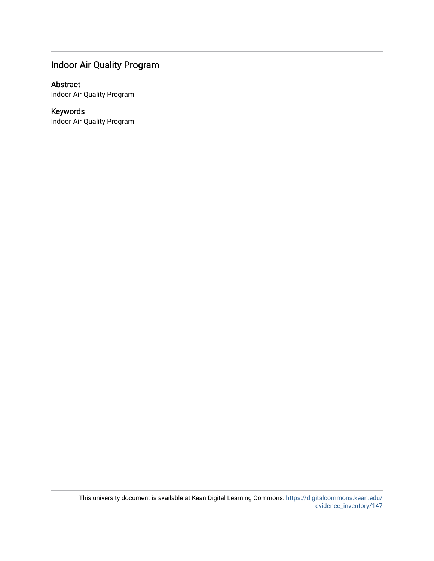# Indoor Air Quality Program

#### Abstract

Indoor Air Quality Program

# Keywords

Indoor Air Quality Program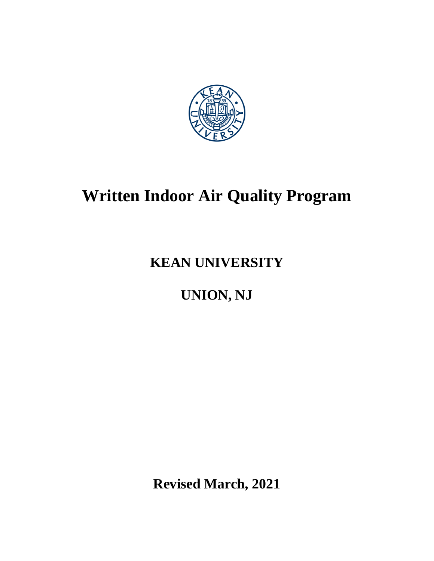

# **Written Indoor Air Quality Program**

# **KEAN UNIVERSITY**

# **UNION, NJ**

**Revised March, 2021**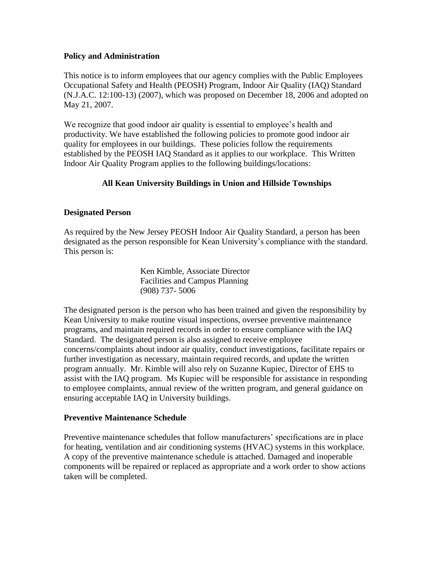#### **Policy and Administration**

This notice is to inform employees that our agency complies with the Public Employees Occupational Safety and Health (PEOSH) Program, Indoor Air Quality (IAQ) Standard (N.J.A.C. 12:100-13) (2007), which was proposed on December 18, 2006 and adopted on May 21, 2007.

We recognize that good indoor air quality is essential to employee's health and productivity. We have established the following policies to promote good indoor air quality for employees in our buildings. These policies follow the requirements established by the PEOSH IAQ Standard as it applies to our workplace. This Written Indoor Air Quality Program applies to the following buildings/locations:

# **All Kean University Buildings in Union and Hillside Townships**

#### **Designated Person**

As required by the New Jersey PEOSH Indoor Air Quality Standard, a person has been designated as the person responsible for Kean University's compliance with the standard. This person is:

> Ken Kimble, Associate Director Facilities and Campus Planning (908) 737- 5006

The designated person is the person who has been trained and given the responsibility by Kean University to make routine visual inspections, oversee preventive maintenance programs, and maintain required records in order to ensure compliance with the IAQ Standard. The designated person is also assigned to receive employee concerns/complaints about indoor air quality, conduct investigations, facilitate repairs or further investigation as necessary, maintain required records, and update the written program annually. Mr. Kimble will also rely on Suzanne Kupiec, Director of EHS to assist with the IAQ program. Ms Kupiec will be responsible for assistance in responding to employee complaints, annual review of the written program, and general guidance on ensuring acceptable IAQ in University buildings.

#### **Preventive Maintenance Schedule**

Preventive maintenance schedules that follow manufacturers' specifications are in place for heating, ventilation and air conditioning systems (HVAC) systems in this workplace. A copy of the preventive maintenance schedule is attached. Damaged and inoperable components will be repaired or replaced as appropriate and a work order to show actions taken will be completed.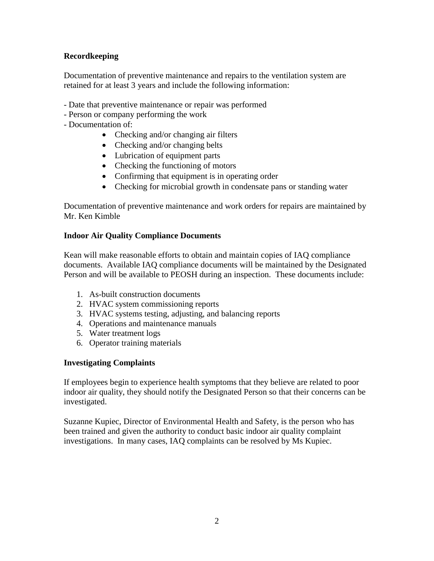# **Recordkeeping**

Documentation of preventive maintenance and repairs to the ventilation system are retained for at least 3 years and include the following information:

- Date that preventive maintenance or repair was performed
- Person or company performing the work
- Documentation of:
	- Checking and/or changing air filters
	- Checking and/or changing belts
	- Lubrication of equipment parts
	- Checking the functioning of motors
	- Confirming that equipment is in operating order
	- Checking for microbial growth in condensate pans or standing water

Documentation of preventive maintenance and work orders for repairs are maintained by Mr. Ken Kimble

#### **Indoor Air Quality Compliance Documents**

Kean will make reasonable efforts to obtain and maintain copies of IAQ compliance documents. Available IAQ compliance documents will be maintained by the Designated Person and will be available to PEOSH during an inspection. These documents include:

- 1. As-built construction documents
- 2. HVAC system commissioning reports
- 3. HVAC systems testing, adjusting, and balancing reports
- 4. Operations and maintenance manuals
- 5. Water treatment logs
- 6. Operator training materials

# **Investigating Complaints**

If employees begin to experience health symptoms that they believe are related to poor indoor air quality, they should notify the Designated Person so that their concerns can be investigated.

Suzanne Kupiec, Director of Environmental Health and Safety, is the person who has been trained and given the authority to conduct basic indoor air quality complaint investigations. In many cases, IAQ complaints can be resolved by Ms Kupiec.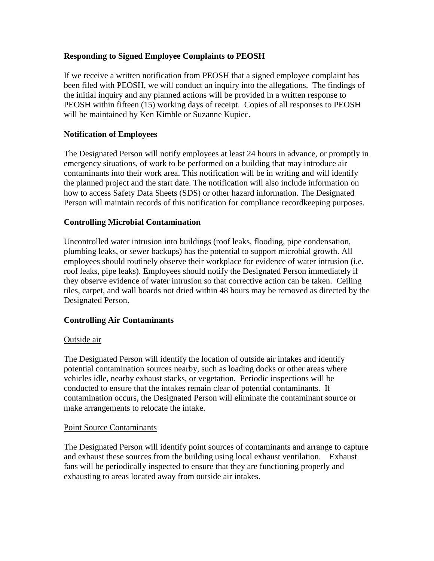# **Responding to Signed Employee Complaints to PEOSH**

If we receive a written notification from PEOSH that a signed employee complaint has been filed with PEOSH, we will conduct an inquiry into the allegations. The findings of the initial inquiry and any planned actions will be provided in a written response to PEOSH within fifteen (15) working days of receipt. Copies of all responses to PEOSH will be maintained by Ken Kimble or Suzanne Kupiec.

# **Notification of Employees**

The Designated Person will notify employees at least 24 hours in advance, or promptly in emergency situations, of work to be performed on a building that may introduce air contaminants into their work area. This notification will be in writing and will identify the planned project and the start date. The notification will also include information on how to access Safety Data Sheets (SDS) or other hazard information. The Designated Person will maintain records of this notification for compliance recordkeeping purposes.

# **Controlling Microbial Contamination**

Uncontrolled water intrusion into buildings (roof leaks, flooding, pipe condensation, plumbing leaks, or sewer backups) has the potential to support microbial growth. All employees should routinely observe their workplace for evidence of water intrusion (i.e. roof leaks, pipe leaks). Employees should notify the Designated Person immediately if they observe evidence of water intrusion so that corrective action can be taken. Ceiling tiles, carpet, and wall boards not dried within 48 hours may be removed as directed by the Designated Person.

# **Controlling Air Contaminants**

# Outside air

The Designated Person will identify the location of outside air intakes and identify potential contamination sources nearby, such as loading docks or other areas where vehicles idle, nearby exhaust stacks, or vegetation. Periodic inspections will be conducted to ensure that the intakes remain clear of potential contaminants. If contamination occurs, the Designated Person will eliminate the contaminant source or make arrangements to relocate the intake.

# Point Source Contaminants

The Designated Person will identify point sources of contaminants and arrange to capture and exhaust these sources from the building using local exhaust ventilation. Exhaust fans will be periodically inspected to ensure that they are functioning properly and exhausting to areas located away from outside air intakes.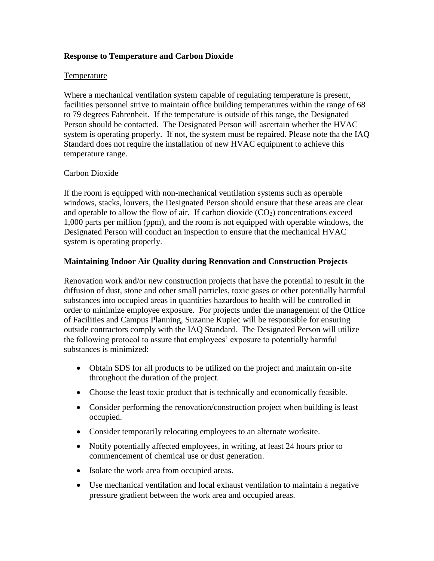# **Response to Temperature and Carbon Dioxide**

#### Temperature

Where a mechanical ventilation system capable of regulating temperature is present, facilities personnel strive to maintain office building temperatures within the range of 68 to 79 degrees Fahrenheit. If the temperature is outside of this range, the Designated Person should be contacted. The Designated Person will ascertain whether the HVAC system is operating properly. If not, the system must be repaired. Please note tha the IAQ Standard does not require the installation of new HVAC equipment to achieve this temperature range.

#### Carbon Dioxide

If the room is equipped with non-mechanical ventilation systems such as operable windows, stacks, louvers, the Designated Person should ensure that these areas are clear and operable to allow the flow of air. If carbon dioxide  $(CO<sub>2</sub>)$  concentrations exceed 1,000 parts per million (ppm), and the room is not equipped with operable windows, the Designated Person will conduct an inspection to ensure that the mechanical HVAC system is operating properly.

#### **Maintaining Indoor Air Quality during Renovation and Construction Projects**

Renovation work and/or new construction projects that have the potential to result in the diffusion of dust, stone and other small particles, toxic gases or other potentially harmful substances into occupied areas in quantities hazardous to health will be controlled in order to minimize employee exposure. For projects under the management of the Office of Facilities and Campus Planning, Suzanne Kupiec will be responsible for ensuring outside contractors comply with the IAQ Standard. The Designated Person will utilize the following protocol to assure that employees' exposure to potentially harmful substances is minimized:

- Obtain SDS for all products to be utilized on the project and maintain on-site throughout the duration of the project.
- Choose the least toxic product that is technically and economically feasible.
- Consider performing the renovation/construction project when building is least occupied.
- Consider temporarily relocating employees to an alternate worksite.
- Notify potentially affected employees, in writing, at least 24 hours prior to commencement of chemical use or dust generation.
- Isolate the work area from occupied areas.
- Use mechanical ventilation and local exhaust ventilation to maintain a negative pressure gradient between the work area and occupied areas.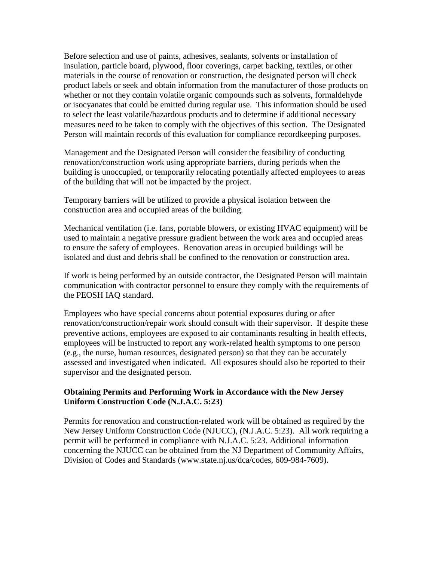Before selection and use of paints, adhesives, sealants, solvents or installation of insulation, particle board, plywood, floor coverings, carpet backing, textiles, or other materials in the course of renovation or construction, the designated person will check product labels or seek and obtain information from the manufacturer of those products on whether or not they contain volatile organic compounds such as solvents, formaldehyde or isocyanates that could be emitted during regular use. This information should be used to select the least volatile/hazardous products and to determine if additional necessary measures need to be taken to comply with the objectives of this section. The Designated Person will maintain records of this evaluation for compliance recordkeeping purposes.

Management and the Designated Person will consider the feasibility of conducting renovation/construction work using appropriate barriers, during periods when the building is unoccupied, or temporarily relocating potentially affected employees to areas of the building that will not be impacted by the project.

Temporary barriers will be utilized to provide a physical isolation between the construction area and occupied areas of the building.

Mechanical ventilation (i.e. fans, portable blowers, or existing HVAC equipment) will be used to maintain a negative pressure gradient between the work area and occupied areas to ensure the safety of employees. Renovation areas in occupied buildings will be isolated and dust and debris shall be confined to the renovation or construction area.

If work is being performed by an outside contractor, the Designated Person will maintain communication with contractor personnel to ensure they comply with the requirements of the PEOSH IAQ standard.

Employees who have special concerns about potential exposures during or after renovation/construction/repair work should consult with their supervisor. If despite these preventive actions, employees are exposed to air contaminants resulting in health effects, employees will be instructed to report any work-related health symptoms to one person (e.g., the nurse, human resources, designated person) so that they can be accurately assessed and investigated when indicated. All exposures should also be reported to their supervisor and the designated person.

#### **Obtaining Permits and Performing Work in Accordance with the New Jersey Uniform Construction Code (N.J.A.C. 5:23)**

Permits for renovation and construction-related work will be obtained as required by the New Jersey Uniform Construction Code (NJUCC), (N.J.A.C. 5:23). All work requiring a permit will be performed in compliance with N.J.A.C. 5:23. Additional information concerning the NJUCC can be obtained from the NJ Department of Community Affairs, Division of Codes and Standards [\(www.state.nj.us/dca/codes,](http://www.state.nj.us/dca/codes) 609-984-7609).